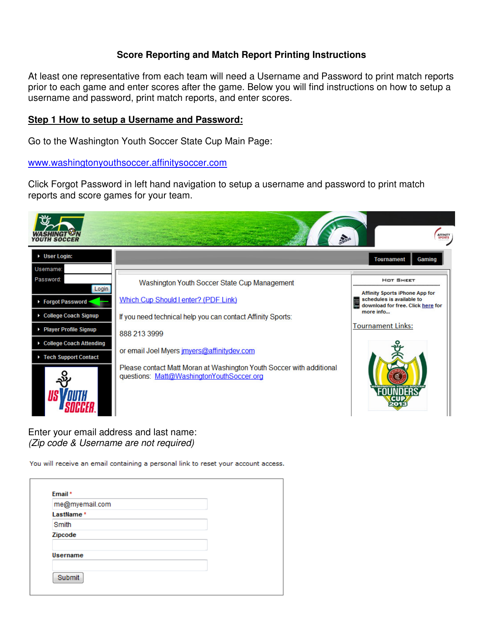## **Score Reporting and Match Report Printing Instructions**

At least one representative from each team will need a Username and Password to print match reports prior to each game and enter scores after the game. Below you will find instructions on how to setup a username and password, print match reports, and enter scores.

## **Step 1 How to setup a Username and Password:**

Go to the Washington Youth Soccer State Cup Main Page:

www.washingtonyouthsoccer.affinitysoccer.com

Click Forgot Password in left hand navigation to setup a username and password to print match reports and score games for your team.



Enter your email address and last name: (Zip code & Username are not required)

You will receive an email containing a personal link to reset your account access.

| me@myemail.com |  |  |
|----------------|--|--|
| LastName*      |  |  |
| Smith          |  |  |
| Zipcode        |  |  |
|                |  |  |
| Username       |  |  |
|                |  |  |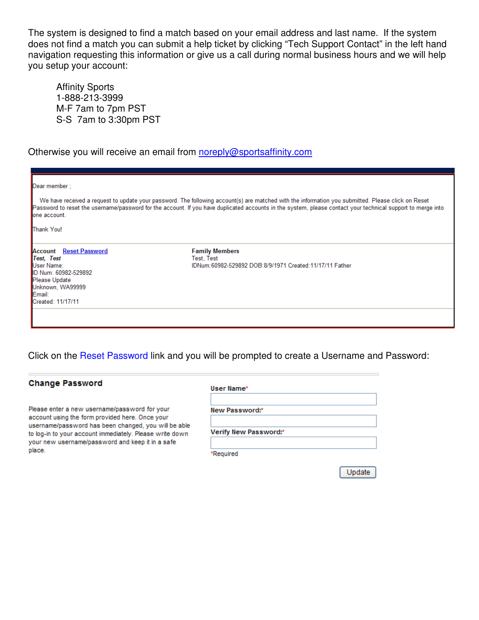The system is designed to find a match based on your email address and last name. If the system does not find a match you can submit a help ticket by clicking "Tech Support Contact" in the left hand navigation requesting this information or give us a call during normal business hours and we will help you setup your account:

 Affinity Sports 1-888-213-3999 M-F 7am to 7pm PST S-S 7am to 3:30pm PST

Otherwise you will receive an email from noreply@sportsaffinity.com

| Dear member ;<br>lone account.<br><b>Thank You!</b>                                                                                                   | We have received a request to update your password. The following account(s) are matched with the information you submitted. Please click on Reset<br>Password to reset the username/password for the account. If you have duplicated accounts in the system, please contact your technical support to merge into |
|-------------------------------------------------------------------------------------------------------------------------------------------------------|-------------------------------------------------------------------------------------------------------------------------------------------------------------------------------------------------------------------------------------------------------------------------------------------------------------------|
| <b>Account</b> Reset Password<br>Test, Test<br>User Name:<br>ID Num: 60982-529892<br>Please Update<br>Unknown, WA99999<br>Email:<br>Created: 11/17/11 | <b>Family Members</b><br>Test, Test<br>IDNum:60982-529892 DOB:8/9/1971 Created:11/17/11 Father                                                                                                                                                                                                                    |

Click on the Reset Password link and you will be prompted to create a Username and Password:

| <b>Change Password</b>                                                                                           | User Name*            |
|------------------------------------------------------------------------------------------------------------------|-----------------------|
| Please enter a new username/password for your<br>account using the form provided here. Once your                 | New Password:*        |
| username/password has been changed, you will be able<br>to log-in to your account immediately. Please write down | Verify New Password:* |
| your new username/password and keep it in a safe<br>place.                                                       | *Reauired             |

Update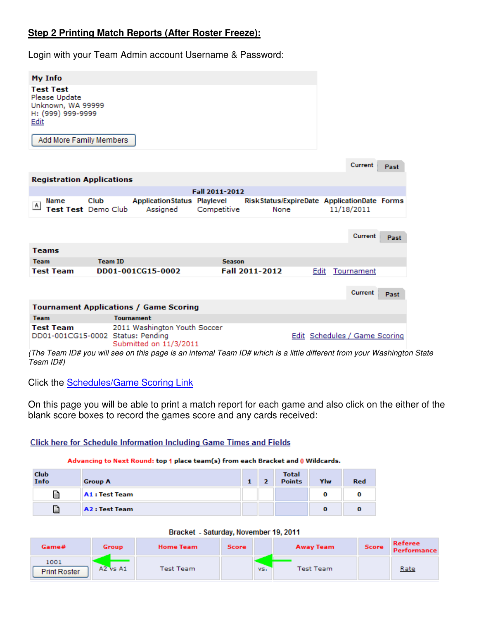# **Step 2 Printing Match Reports (After Roster Freeze):**

Login with your Team Admin account Username & Password:

| My Info                                                                                                        |                                                        |                |                                                     |      |                                      |         |      |
|----------------------------------------------------------------------------------------------------------------|--------------------------------------------------------|----------------|-----------------------------------------------------|------|--------------------------------------|---------|------|
| <b>Test Test</b><br>Please Update<br>Unknown, WA 99999<br>H: (999) 999-9999<br>Edit<br>Add More Family Members |                                                        |                |                                                     |      |                                      |         |      |
|                                                                                                                |                                                        |                |                                                     |      |                                      | Current | Past |
| <b>Registration Applications</b>                                                                               |                                                        |                |                                                     |      |                                      |         |      |
|                                                                                                                |                                                        | Fall 2011-2012 |                                                     |      |                                      |         |      |
| Name<br>Club<br> A <br>Test Test Demo Club                                                                     | <b>ApplicationStatus Playlevel</b><br>Assigned         | Competitive    | RiskStatus/ExpireDate ApplicationDate Forms<br>None |      | 11/18/2011                           |         |      |
|                                                                                                                |                                                        |                |                                                     |      |                                      |         |      |
|                                                                                                                |                                                        |                |                                                     |      |                                      | Current | Past |
| <b>Teams</b>                                                                                                   |                                                        |                |                                                     |      |                                      |         |      |
| <b>Team</b>                                                                                                    | <b>Team ID</b>                                         | <b>Season</b>  |                                                     |      |                                      |         |      |
| <b>Test Team</b>                                                                                               | DD01-001CG15-0002                                      |                | Fall 2011-2012                                      | Edit | Tournament                           |         |      |
|                                                                                                                |                                                        |                |                                                     |      |                                      |         |      |
|                                                                                                                |                                                        |                |                                                     |      |                                      | Current | Past |
|                                                                                                                | <b>Tournament Applications / Game Scoring</b>          |                |                                                     |      |                                      |         |      |
| <b>Team</b>                                                                                                    | <b>Tournament</b>                                      |                |                                                     |      |                                      |         |      |
| <b>Test Team</b><br>DD01-001CG15-0002 Status: Pending                                                          | 2011 Washington Youth Soccer<br>Submitted on 11/3/2011 |                |                                                     |      | <b>Edit Schedules / Game Scoring</b> |         |      |

(The Team ID# you will see on this page is an internal Team ID# which is a little different from your Washington State Team ID#)

Click the Schedules/Game Scoring Link

On this page you will be able to print a match report for each game and also click on the either of the blank score boxes to record the games score and any cards received:

## **Click here for Schedule Information Including Game Times and Fields**

#### Advancing to Next Round: top 1 place team(s) from each Bracket and 0 Wildcards.

| Club<br>Info | <b>Group A</b>        |  | <b>Total</b><br><b>Points</b> | Ylw | <b>Red</b> |
|--------------|-----------------------|--|-------------------------------|-----|------------|
| B            | <b>A1</b> : Test Team |  |                               |     |            |
| B            | <b>A2 : Test Team</b> |  |                               |     |            |

| Bracket - Saturday, November 19, 2011 |  |
|---------------------------------------|--|

| Game#                       | Group        | <b>Home Team</b> | Score | <b>Away Team</b> | Score | Referee<br>Performance |
|-----------------------------|--------------|------------------|-------|------------------|-------|------------------------|
| 1001<br><b>Print Roster</b> | $A2$ vs $A1$ | Test Team        | vs.   | Test Team        |       | Rate                   |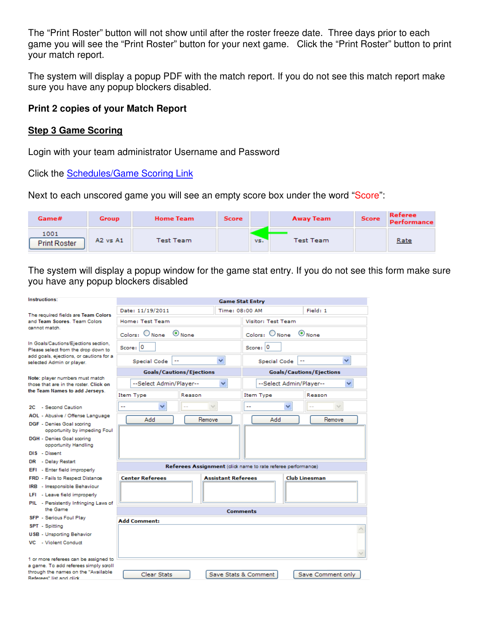The "Print Roster" button will not show until after the roster freeze date. Three days prior to each game you will see the "Print Roster" button for your next game. Click the "Print Roster" button to print your match report.

The system will display a popup PDF with the match report. If you do not see this match report make sure you have any popup blockers disabled.

# **Print 2 copies of your Match Report**

## **Step 3 Game Scoring**

Login with your team administrator Username and Password

Click the Schedules/Game Scoring Link

Next to each unscored game you will see an empty score box under the word "Score":

| Game#                       | Group        | <b>Home Team</b> | <b>Score</b> | <b>Away Team</b> | <b>Score</b> | <b>Referee</b><br><b>Performance</b> |
|-----------------------------|--------------|------------------|--------------|------------------|--------------|--------------------------------------|
| 1001<br><b>Print Roster</b> | $A2$ vs $A1$ | Test Team        | VS.          | Test Team        |              | Rate                                 |

The system will display a popup window for the game stat entry. If you do not see this form make sure you have any popup blockers disabled

| Instructions:                                                                  |                         |                                                             | <b>Game Stat Entry</b>            |                                 |  |
|--------------------------------------------------------------------------------|-------------------------|-------------------------------------------------------------|-----------------------------------|---------------------------------|--|
| The required fields are Team Colors                                            | Date: 11/19/2011        |                                                             | Time: 08:00 AM                    | Field: 1                        |  |
| and Team Scores. Team Colors<br>cannot match.                                  | Home: Test Team         |                                                             | <b>Visitor: Test Team</b>         |                                 |  |
|                                                                                | $Color: \bigcirc None$  | $\odot$ None                                                | $Colors:$ $QNone$<br>$\odot$ None |                                 |  |
| In Goals/Cautions/Ejections section,<br>Please select from the drop down to    | Score: 0                |                                                             | Score: $ 0 $                      |                                 |  |
| add goals, ejections, or cautions for a<br>selected Admin or player.           | Special Code            | ×                                                           | Special Code                      | v<br>۰.                         |  |
|                                                                                |                         | <b>Goals/Cautions/Ejections</b>                             |                                   | <b>Goals/Cautions/Ejections</b> |  |
| Note: player numbers must match<br>those that are in the roster. Click on      | --Select Admin/Player-- | ×                                                           |                                   | --Select Admin/Player--<br>×    |  |
| the Team Names to add Jerseys.                                                 | <b>Item Type</b>        | Reason                                                      | Item Type                         | Reason                          |  |
| 2C - Second Caution                                                            | v                       | $\checkmark$                                                | --                                | ×<br>$\checkmark$               |  |
| AOL - Abusive / Offense Language                                               | Add                     | Remove                                                      | Add                               | Remove                          |  |
| DGF - Denies Goal scoring<br>opportunity by impeding Foul                      |                         |                                                             |                                   |                                 |  |
| DGH - Denies Goal scoring<br>opportunity Handling                              |                         |                                                             |                                   |                                 |  |
| DIS - Dissent                                                                  |                         |                                                             |                                   |                                 |  |
| DR - Delay Restart<br>EFI - Enter field improperly                             |                         | Referees Assignment (dick name to rate referee performance) |                                   |                                 |  |
| FRD - Fails to Respect Distance                                                | <b>Center Referees</b>  | <b>Assistant Referees</b>                                   |                                   | <b>Club Linesman</b>            |  |
| IRB - Irresponsible Behaviour                                                  |                         |                                                             |                                   |                                 |  |
| LFI - Leave field improperly                                                   |                         |                                                             |                                   |                                 |  |
| PIL - Persistently Infringing Laws of<br>the Game                              |                         |                                                             |                                   |                                 |  |
| SFP - Serious Foul Play                                                        |                         |                                                             | <b>Comments</b>                   |                                 |  |
| SPT - Spitting                                                                 | <b>Add Comment:</b>     |                                                             |                                   |                                 |  |
| <b>USB</b> - Unsporting Behavior                                               |                         |                                                             |                                   |                                 |  |
| VC - Violent Conduct                                                           |                         |                                                             |                                   |                                 |  |
|                                                                                |                         |                                                             |                                   |                                 |  |
| 1 or more referees can be assigned to<br>a game. To add referees simply scroll |                         |                                                             |                                   |                                 |  |
| through the names on the "Available<br>Referees" list and click                | Clear Stats             |                                                             | Save Stats & Comment              | Save Comment only               |  |